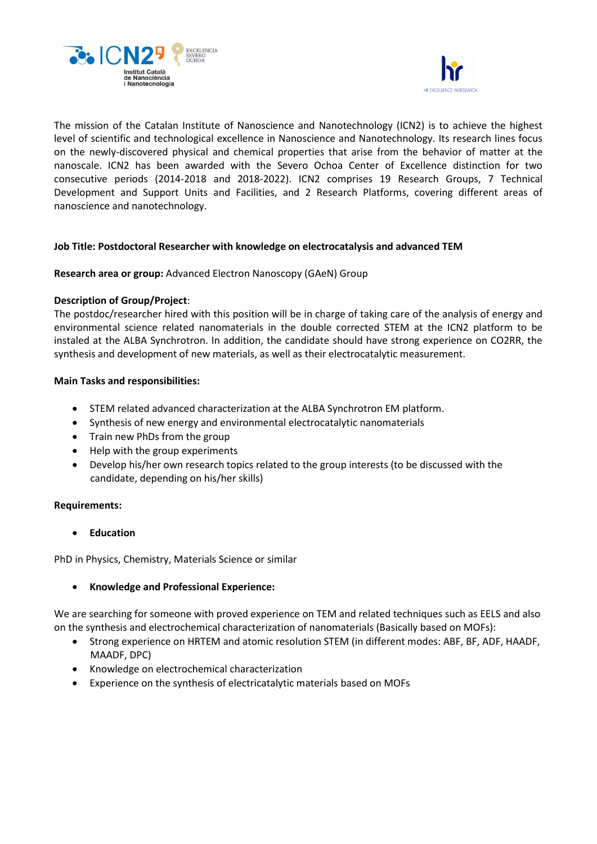



The mission of the Catalan Institute of Nanoscience and Nanotechnology (ICN2) is to achieve the highest level of scientific and technological excellence in Nanoscience and Nanotechnology. Its research lines focus on the newly-discovered physical and chemical properties that arise from the behavior of matter at the nanoscale. ICN2 has been awarded with the Severo Ochoa Center of Excellence distinction for two consecutive periods (2014-2018 and 2018-2022). ICN2 comprises 19 Research Groups, 7 Technical Development and Support Units and Facilities, and 2 Research Platforms, covering different areas of nanoscience and nanotechnology.

# **Job Title: Postdoctoral Researcher with knowledge on electrocatalysis and advanced TEM**

# **Research area or group:** Advanced Electron Nanoscopy (GAeN) Group

# **Description of Group/Project**:

The postdoc/researcher hired with this position will be in charge of taking care of the analysis of energy and environmental science related nanomaterials in the double corrected STEM at the ICN2 platform to be instaled at the ALBA Synchrotron. In addition, the candidate should have strong experience on CO2RR, the synthesis and development of new materials, as well as their electrocatalytic measurement.

### **Main Tasks and responsibilities:**

- STEM related advanced characterization at the ALBA Synchrotron EM platform.
- Synthesis of new energy and environmental electrocatalytic nanomaterials
- Train new PhDs from the group
- Help with the group experiments
- Develop his/her own research topics related to the group interests (to be discussed with the candidate, depending on his/her skills)

#### **Requirements:**

• **Education**

PhD in Physics, Chemistry, Materials Science or similar

# • **Knowledge and Professional Experience:**

We are searching for someone with proved experience on TEM and related techniques such as EELS and also on the synthesis and electrochemical characterization of nanomaterials (Basically based on MOFs):

- Strong experience on HRTEM and atomic resolution STEM (in different modes: ABF, BF, ADF, HAADF, MAADF, DPC)
- Knowledge on electrochemical characterization
- Experience on the synthesis of electricatalytic materials based on MOFs